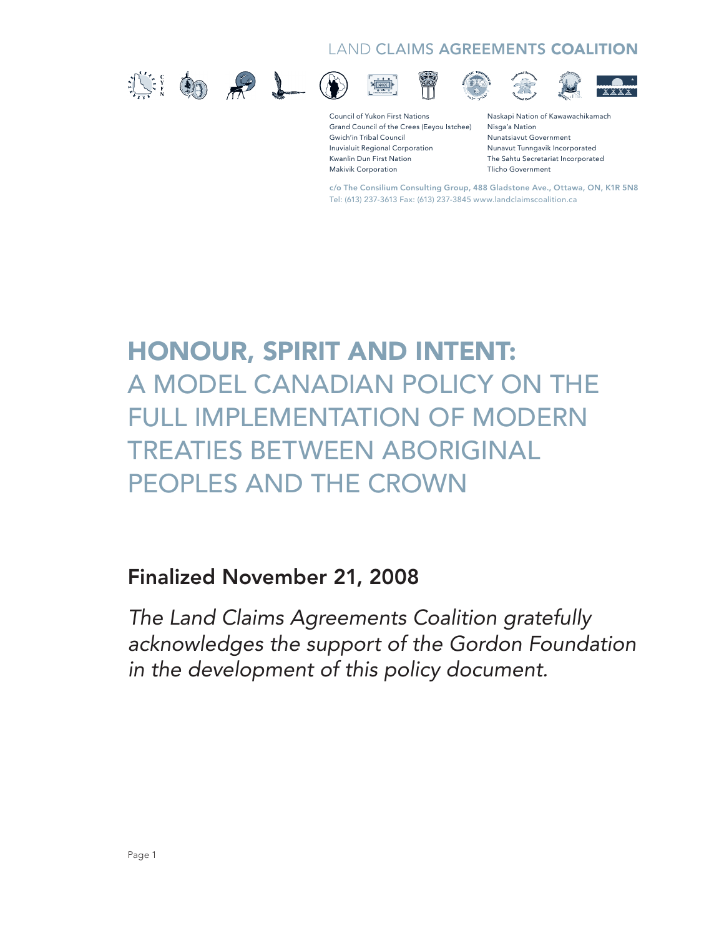#### LAND CLAIMS AGREEMENTS COALITION









Ê







Council of Yukon First Nations Grand Council of the Crees (Eeyou Istchee) Gwich'in Tribal Council Inuvialuit Regional Corporation Kwanlin Dun First Nation Makivik Corporation

Naskapi Nation of Kawawachikamach Nisga'a Nation Nunatsiavut Government Nunavut Tunngavik Incorporated The Sahtu Secretariat Incorporated Tlicho Government

c/o The Consilium Consulting Group, 488 Gladstone Ave., Ottawa, ON, K1R 5N8 Tel: (613) 237-3613 Fax: (613) 237-3845 www.landclaimscoalition.ca

# Honour, Spirit and Intent: A Model Canadian Policy on the Full Implementation of Modern Treaties Between Aboriginal Peoples and the Crown

## Finalized November 21, 2008

*The Land Claims Agreements Coalition gratefully acknowledges the support of the Gordon Foundation in the development of this policy document.*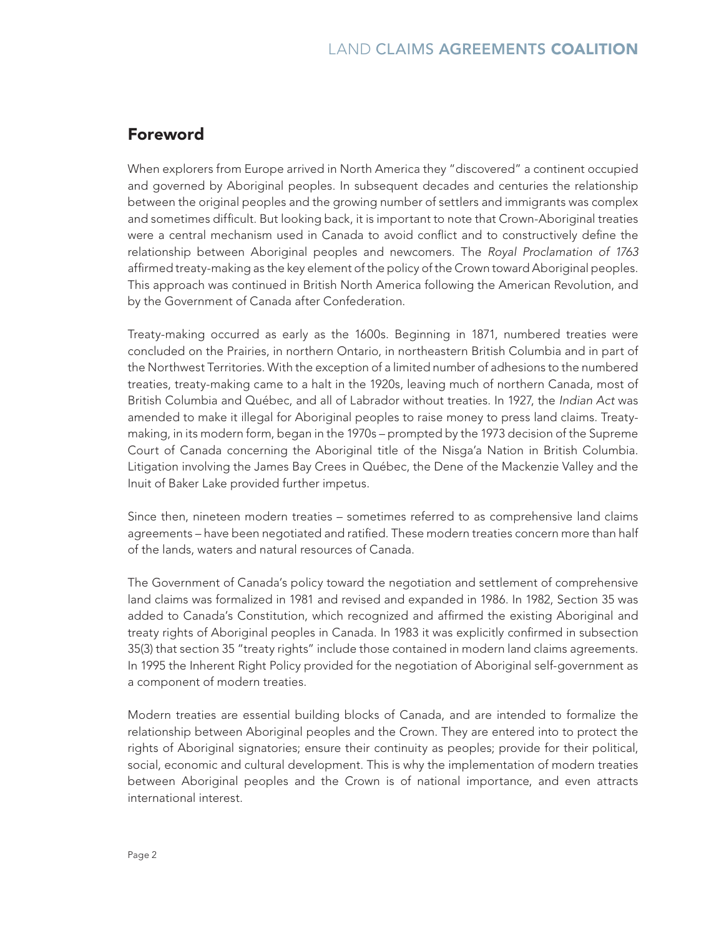#### Foreword

When explorers from Europe arrived in North America they "discovered" a continent occupied and governed by Aboriginal peoples. In subsequent decades and centuries the relationship between the original peoples and the growing number of settlers and immigrants was complex and sometimes difficult. But looking back, it is important to note that Crown-Aboriginal treaties were a central mechanism used in Canada to avoid conflict and to constructively define the relationship between Aboriginal peoples and newcomers. The *Royal Proclamation of 1763* affirmed treaty-making as the key element of the policy of the Crown toward Aboriginal peoples. This approach was continued in British North America following the American Revolution, and by the Government of Canada after Confederation.

Treaty-making occurred as early as the 1600s. Beginning in 1871, numbered treaties were concluded on the Prairies, in northern Ontario, in northeastern British Columbia and in part of the Northwest Territories. With the exception of a limited number of adhesions to the numbered treaties, treaty-making came to a halt in the 1920s, leaving much of northern Canada, most of British Columbia and Québec, and all of Labrador without treaties. In 1927, the *Indian Act* was amended to make it illegal for Aboriginal peoples to raise money to press land claims. Treatymaking, in its modern form, began in the 1970s – prompted by the 1973 decision of the Supreme Court of Canada concerning the Aboriginal title of the Nisga'a Nation in British Columbia. Litigation involving the James Bay Crees in Québec, the Dene of the Mackenzie Valley and the Inuit of Baker Lake provided further impetus.

Since then, nineteen modern treaties – sometimes referred to as comprehensive land claims agreements – have been negotiated and ratified. These modern treaties concern more than half of the lands, waters and natural resources of Canada.

The Government of Canada's policy toward the negotiation and settlement of comprehensive land claims was formalized in 1981 and revised and expanded in 1986. In 1982, Section 35 was added to Canada's Constitution, which recognized and affirmed the existing Aboriginal and treaty rights of Aboriginal peoples in Canada. In 1983 it was explicitly confirmed in subsection 35(3) that section 35 "treaty rights" include those contained in modern land claims agreements. In 1995 the Inherent Right Policy provided for the negotiation of Aboriginal self-government as a component of modern treaties.

Modern treaties are essential building blocks of Canada, and are intended to formalize the relationship between Aboriginal peoples and the Crown. They are entered into to protect the rights of Aboriginal signatories; ensure their continuity as peoples; provide for their political, social, economic and cultural development. This is why the implementation of modern treaties between Aboriginal peoples and the Crown is of national importance, and even attracts international interest.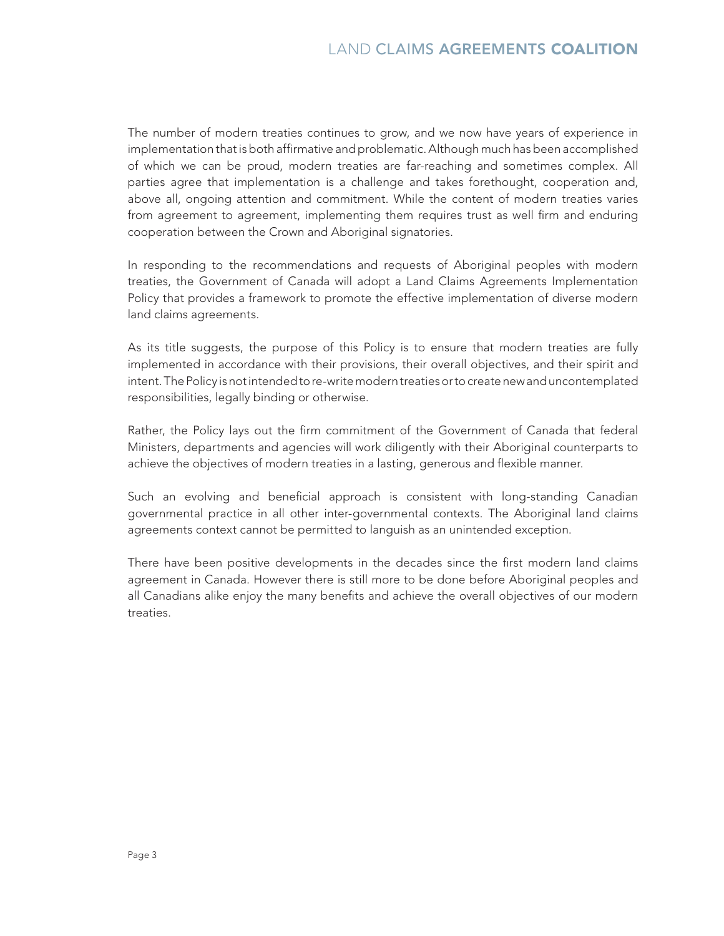The number of modern treaties continues to grow, and we now have years of experience in implementation that is both affirmative and problematic. Although much has been accomplished of which we can be proud, modern treaties are far-reaching and sometimes complex. All parties agree that implementation is a challenge and takes forethought, cooperation and, above all, ongoing attention and commitment. While the content of modern treaties varies from agreement to agreement, implementing them requires trust as well firm and enduring cooperation between the Crown and Aboriginal signatories.

In responding to the recommendations and requests of Aboriginal peoples with modern treaties, the Government of Canada will adopt a Land Claims Agreements Implementation Policy that provides a framework to promote the effective implementation of diverse modern land claims agreements.

As its title suggests, the purpose of this Policy is to ensure that modern treaties are fully implemented in accordance with their provisions, their overall objectives, and their spirit and intent. The Policy is not intended to re-write modern treaties or to create new and uncontemplated responsibilities, legally binding or otherwise.

Rather, the Policy lays out the firm commitment of the Government of Canada that federal Ministers, departments and agencies will work diligently with their Aboriginal counterparts to achieve the objectives of modern treaties in a lasting, generous and flexible manner.

Such an evolving and beneficial approach is consistent with long-standing Canadian governmental practice in all other inter-governmental contexts. The Aboriginal land claims agreements context cannot be permitted to languish as an unintended exception.

There have been positive developments in the decades since the first modern land claims agreement in Canada. However there is still more to be done before Aboriginal peoples and all Canadians alike enjoy the many benefits and achieve the overall objectives of our modern treaties.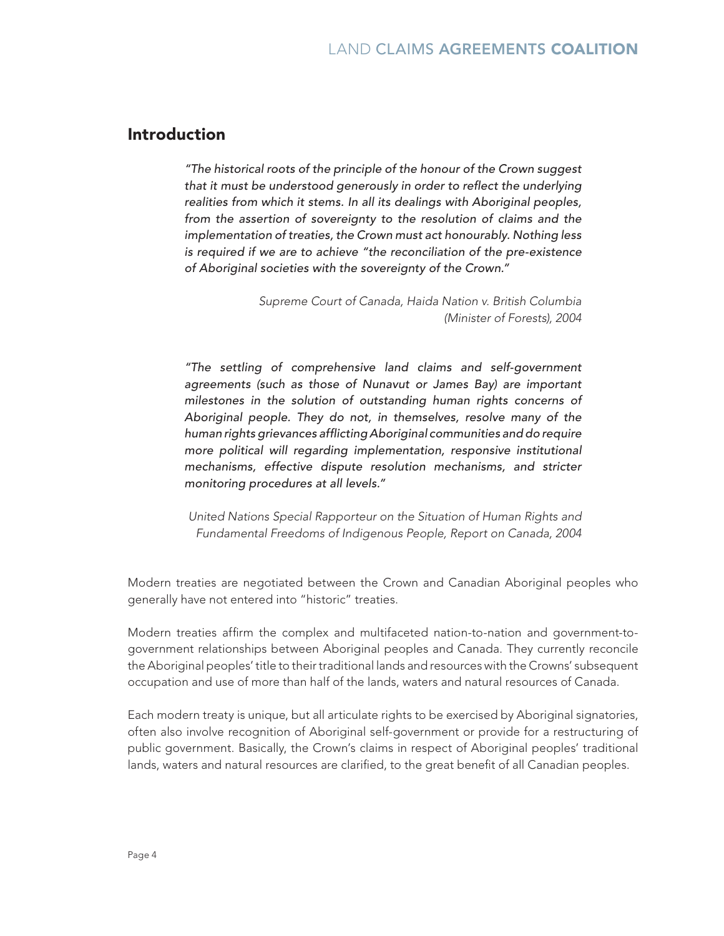#### Introduction

*"The historical roots of the principle of the honour of the Crown suggest that it must be understood generously in order to reflect the underlying realities from which it stems. In all its dealings with Aboriginal peoples, from the assertion of sovereignty to the resolution of claims and the implementation of treaties, the Crown must act honourably. Nothing less is required if we are to achieve "the reconciliation of the pre-existence of Aboriginal societies with the sovereignty of the Crown."*

> *Supreme Court of Canada, Haida Nation v. British Columbia (Minister of Forests), 2004*

*"The settling of comprehensive land claims and self-government agreements (such as those of Nunavut or James Bay) are important milestones in the solution of outstanding human rights concerns of Aboriginal people. They do not, in themselves, resolve many of the human rights grievances afflicting Aboriginal communities and do require more political will regarding implementation, responsive institutional mechanisms, effective dispute resolution mechanisms, and stricter monitoring procedures at all levels."*

*United Nations Special Rapporteur on the Situation of Human Rights and Fundamental Freedoms of Indigenous People, Report on Canada, 2004*

Modern treaties are negotiated between the Crown and Canadian Aboriginal peoples who generally have not entered into "historic" treaties.

Modern treaties affirm the complex and multifaceted nation-to-nation and government-togovernment relationships between Aboriginal peoples and Canada. They currently reconcile the Aboriginal peoples' title to their traditional lands and resources with the Crowns' subsequent occupation and use of more than half of the lands, waters and natural resources of Canada.

Each modern treaty is unique, but all articulate rights to be exercised by Aboriginal signatories, often also involve recognition of Aboriginal self-government or provide for a restructuring of public government. Basically, the Crown's claims in respect of Aboriginal peoples' traditional lands, waters and natural resources are clarified, to the great benefit of all Canadian peoples.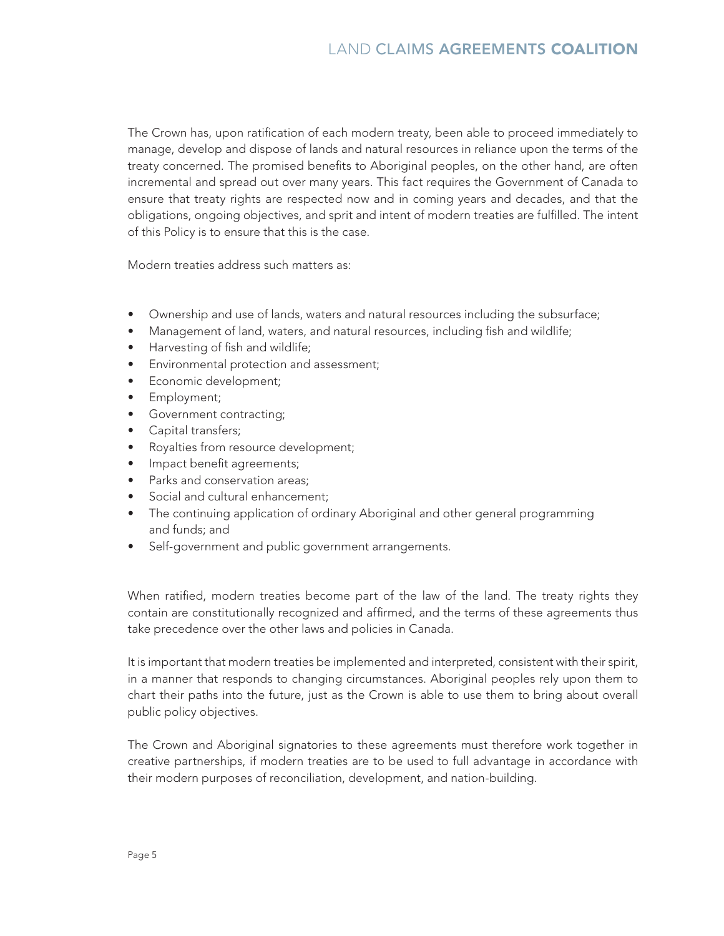#### LAND CLAIMS AGREEMENTS COALITION

The Crown has, upon ratification of each modern treaty, been able to proceed immediately to manage, develop and dispose of lands and natural resources in reliance upon the terms of the treaty concerned. The promised benefits to Aboriginal peoples, on the other hand, are often incremental and spread out over many years. This fact requires the Government of Canada to ensure that treaty rights are respected now and in coming years and decades, and that the obligations, ongoing objectives, and sprit and intent of modern treaties are fulfilled. The intent of this Policy is to ensure that this is the case.

Modern treaties address such matters as:

- Ownership and use of lands, waters and natural resources including the subsurface;
- Management of land, waters, and natural resources, including fish and wildlife;
- Harvesting of fish and wildlife;
- • Environmental protection and assessment;
- Economic development;
- Employment;
- • Government contracting;
- • Capital transfers;
- Royalties from resource development;
- Impact benefit agreements;
- Parks and conservation areas:
- Social and cultural enhancement;
- The continuing application of ordinary Aboriginal and other general programming and funds; and
- Self-government and public government arrangements.

When ratified, modern treaties become part of the law of the land. The treaty rights they contain are constitutionally recognized and affirmed, and the terms of these agreements thus take precedence over the other laws and policies in Canada.

It is important that modern treaties be implemented and interpreted, consistent with their spirit, in a manner that responds to changing circumstances. Aboriginal peoples rely upon them to chart their paths into the future, just as the Crown is able to use them to bring about overall public policy objectives.

The Crown and Aboriginal signatories to these agreements must therefore work together in creative partnerships, if modern treaties are to be used to full advantage in accordance with their modern purposes of reconciliation, development, and nation-building.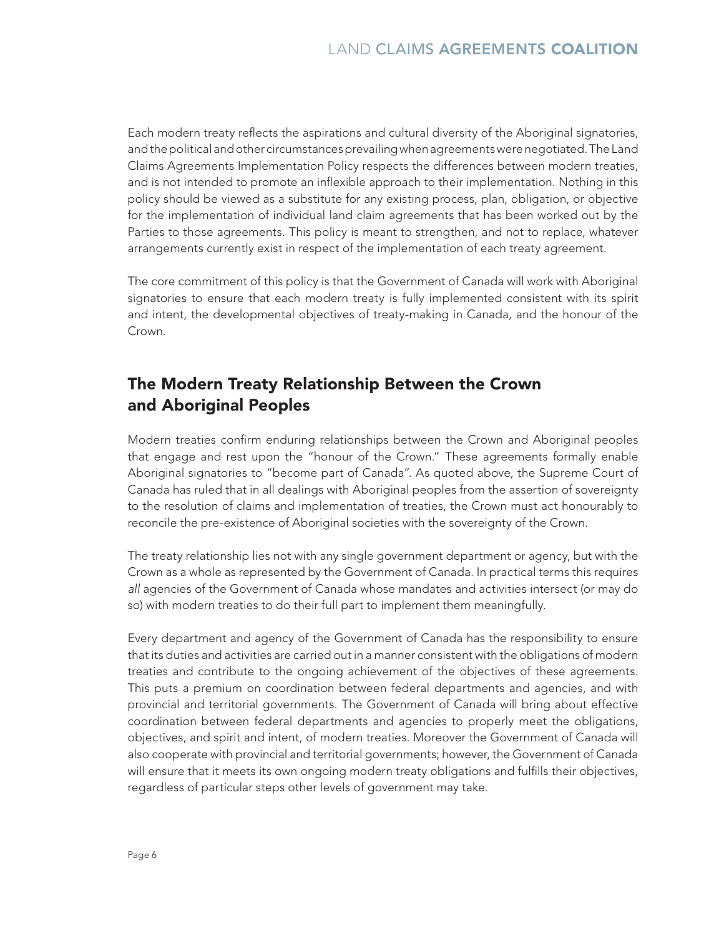Each modern treaty reflects the aspirations and cultural diversity of the Aboriginal signatories, and the political and other circumstances prevailing when agreements were negotiated. The Land Claims Agreements Implementation Policy respects the differences between modern treaties, and is not intended to promote an inflexible approach to their implementation. Nothing in this policy should be viewed as a substitute for any existing process, plan, obligation, or objective for the implementation of individual land claim agreements that has been worked out by the Parties to those agreements. This policy is meant to strengthen, and not to replace, whatever arrangements currently exist in respect of the implementation of each treaty agreement.

The core commitment of this policy is that the Government of Canada will work with Aboriginal signatories to ensure that each modern treaty is fully implemented consistent with its spirit and intent, the developmental objectives of treaty-making in Canada, and the honour of the Crown.

### The Modern Treaty Relationship Between the Crown and Aboriginal Peoples

Modern treaties confirm enduring relationships between the Crown and Aboriginal peoples that engage and rest upon the "honour of the Crown." These agreements formally enable Aboriginal signatories to "become part of Canada". As quoted above, the Supreme Court of Canada has ruled that in all dealings with Aboriginal peoples from the assertion of sovereignty to the resolution of claims and implementation of treaties, the Crown must act honourably to reconcile the pre-existence of Aboriginal societies with the sovereignty of the Crown.

The treaty relationship lies not with any single government department or agency, but with the Crown as a whole as represented by the Government of Canada. In practical terms this requires *all* agencies of the Government of Canada whose mandates and activities intersect (or may do so) with modern treaties to do their full part to implement them meaningfully.

Every department and agency of the Government of Canada has the responsibility to ensure that its duties and activities are carried out in a manner consistent with the obligations of modern treaties and contribute to the ongoing achievement of the objectives of these agreements. This puts a premium on coordination between federal departments and agencies, and with provincial and territorial governments. The Government of Canada will bring about effective coordination between federal departments and agencies to properly meet the obligations, objectives, and spirit and intent, of modern treaties. Moreover the Government of Canada will also cooperate with provincial and territorial governments; however, the Government of Canada will ensure that it meets its own ongoing modern treaty obligations and fulfills their objectives, regardless of particular steps other levels of government may take.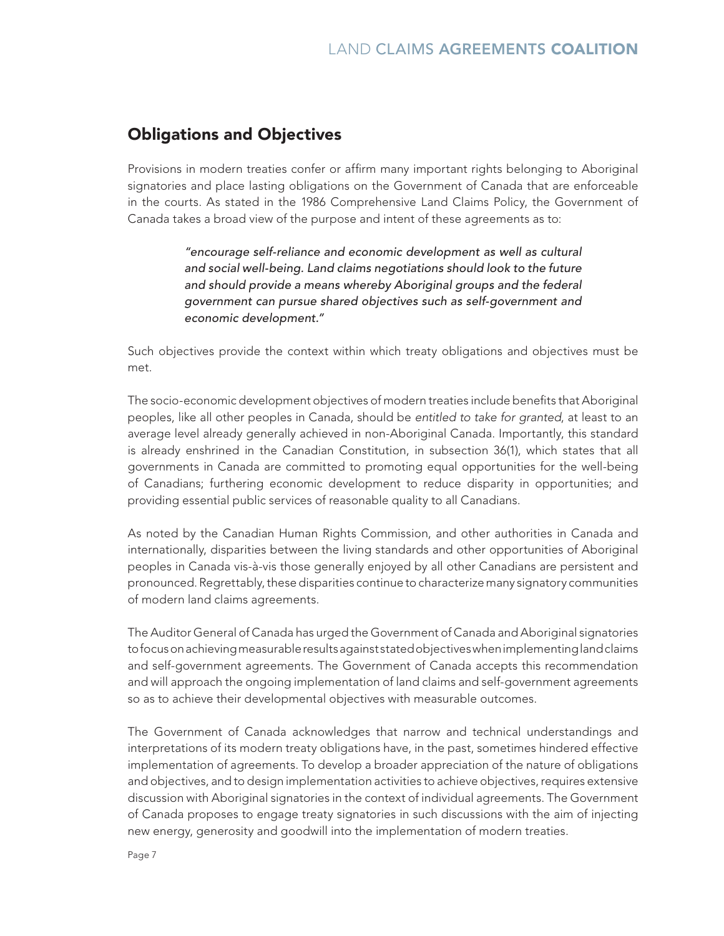#### Obligations and Objectives

Provisions in modern treaties confer or affirm many important rights belonging to Aboriginal signatories and place lasting obligations on the Government of Canada that are enforceable in the courts. As stated in the 1986 Comprehensive Land Claims Policy, the Government of Canada takes a broad view of the purpose and intent of these agreements as to:

> *"encourage self-reliance and economic development as well as cultural and social well-being. Land claims negotiations should look to the future and should provide a means whereby Aboriginal groups and the federal government can pursue shared objectives such as self-government and economic development."*

Such objectives provide the context within which treaty obligations and objectives must be met.

The socio-economic development objectives of modern treaties include benefits that Aboriginal peoples, like all other peoples in Canada, should be *entitled to take for granted*, at least to an average level already generally achieved in non-Aboriginal Canada. Importantly, this standard is already enshrined in the Canadian Constitution, in subsection 36(1), which states that all governments in Canada are committed to promoting equal opportunities for the well-being of Canadians; furthering economic development to reduce disparity in opportunities; and providing essential public services of reasonable quality to all Canadians.

As noted by the Canadian Human Rights Commission, and other authorities in Canada and internationally, disparities between the living standards and other opportunities of Aboriginal peoples in Canada vis-à-vis those generally enjoyed by all other Canadians are persistent and pronounced. Regrettably, these disparities continue to characterize many signatory communities of modern land claims agreements.

The Auditor General of Canada has urged the Government of Canada and Aboriginal signatories to focus on achieving measurable results against stated objectives when implementing land claims and self-government agreements. The Government of Canada accepts this recommendation and will approach the ongoing implementation of land claims and self-government agreements so as to achieve their developmental objectives with measurable outcomes.

The Government of Canada acknowledges that narrow and technical understandings and interpretations of its modern treaty obligations have, in the past, sometimes hindered effective implementation of agreements. To develop a broader appreciation of the nature of obligations and objectives, and to design implementation activities to achieve objectives, requires extensive discussion with Aboriginal signatories in the context of individual agreements. The Government of Canada proposes to engage treaty signatories in such discussions with the aim of injecting new energy, generosity and goodwill into the implementation of modern treaties.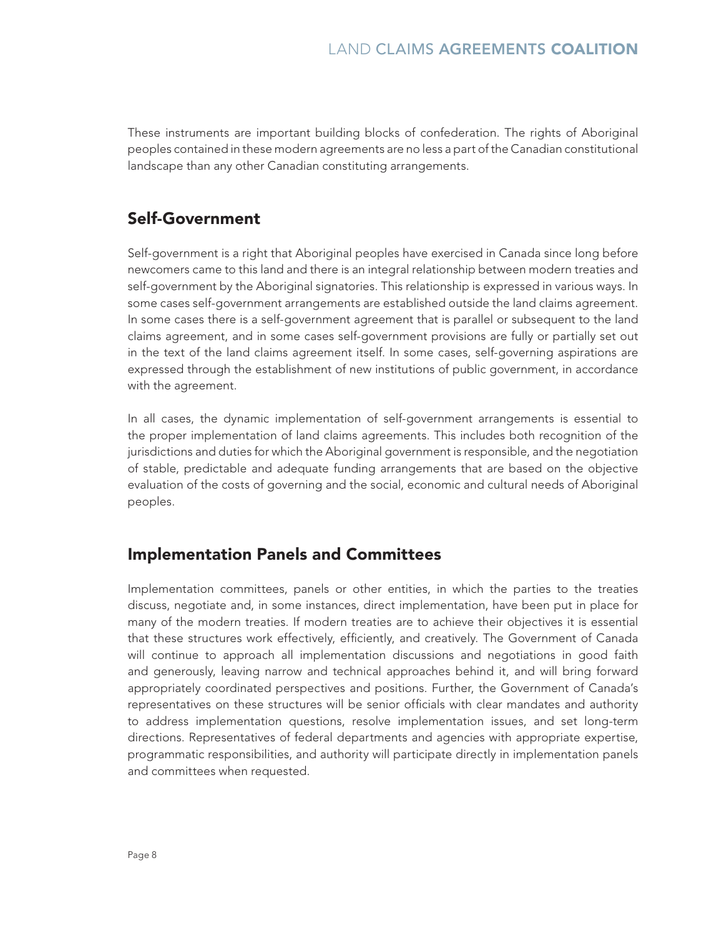These instruments are important building blocks of confederation. The rights of Aboriginal peoples contained in these modern agreements are no less a part of the Canadian constitutional landscape than any other Canadian constituting arrangements.

#### Self-Government

Self-government is a right that Aboriginal peoples have exercised in Canada since long before newcomers came to this land and there is an integral relationship between modern treaties and self-government by the Aboriginal signatories. This relationship is expressed in various ways. In some cases self-government arrangements are established outside the land claims agreement. In some cases there is a self-government agreement that is parallel or subsequent to the land claims agreement, and in some cases self-government provisions are fully or partially set out in the text of the land claims agreement itself. In some cases, self-governing aspirations are expressed through the establishment of new institutions of public government, in accordance with the agreement.

In all cases, the dynamic implementation of self-government arrangements is essential to the proper implementation of land claims agreements. This includes both recognition of the jurisdictions and duties for which the Aboriginal government is responsible, and the negotiation of stable, predictable and adequate funding arrangements that are based on the objective evaluation of the costs of governing and the social, economic and cultural needs of Aboriginal peoples.

#### Implementation Panels and Committees

Implementation committees, panels or other entities, in which the parties to the treaties discuss, negotiate and, in some instances, direct implementation, have been put in place for many of the modern treaties. If modern treaties are to achieve their objectives it is essential that these structures work effectively, efficiently, and creatively. The Government of Canada will continue to approach all implementation discussions and negotiations in good faith and generously, leaving narrow and technical approaches behind it, and will bring forward appropriately coordinated perspectives and positions. Further, the Government of Canada's representatives on these structures will be senior officials with clear mandates and authority to address implementation questions, resolve implementation issues, and set long-term directions. Representatives of federal departments and agencies with appropriate expertise, programmatic responsibilities, and authority will participate directly in implementation panels and committees when requested.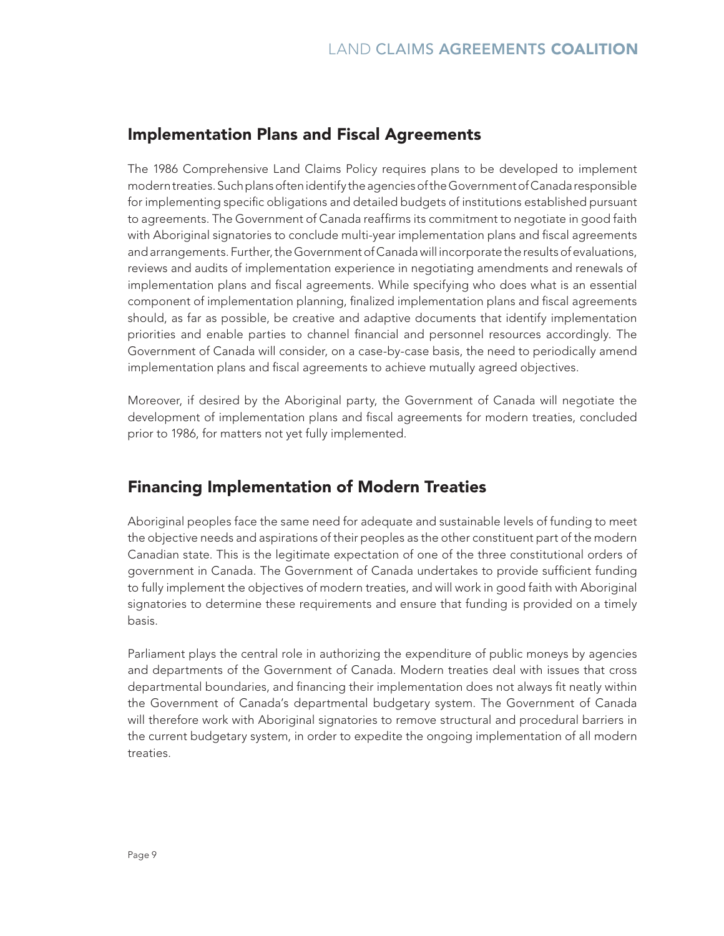#### Implementation Plans and Fiscal Agreements

The 1986 Comprehensive Land Claims Policy requires plans to be developed to implement modern treaties. Such plans often identify the agencies of the Government of Canada responsible for implementing specific obligations and detailed budgets of institutions established pursuant to agreements. The Government of Canada reaffirms its commitment to negotiate in good faith with Aboriginal signatories to conclude multi-year implementation plans and fiscal agreements and arrangements. Further, the Government of Canada will incorporate the results of evaluations, reviews and audits of implementation experience in negotiating amendments and renewals of implementation plans and fiscal agreements. While specifying who does what is an essential component of implementation planning, finalized implementation plans and fiscal agreements should, as far as possible, be creative and adaptive documents that identify implementation priorities and enable parties to channel financial and personnel resources accordingly. The Government of Canada will consider, on a case-by-case basis, the need to periodically amend implementation plans and fiscal agreements to achieve mutually agreed objectives.

Moreover, if desired by the Aboriginal party, the Government of Canada will negotiate the development of implementation plans and fiscal agreements for modern treaties, concluded prior to 1986, for matters not yet fully implemented.

#### Financing Implementation of Modern Treaties

Aboriginal peoples face the same need for adequate and sustainable levels of funding to meet the objective needs and aspirations of their peoples as the other constituent part of the modern Canadian state. This is the legitimate expectation of one of the three constitutional orders of government in Canada. The Government of Canada undertakes to provide sufficient funding to fully implement the objectives of modern treaties, and will work in good faith with Aboriginal signatories to determine these requirements and ensure that funding is provided on a timely basis.

Parliament plays the central role in authorizing the expenditure of public moneys by agencies and departments of the Government of Canada. Modern treaties deal with issues that cross departmental boundaries, and financing their implementation does not always fit neatly within the Government of Canada's departmental budgetary system. The Government of Canada will therefore work with Aboriginal signatories to remove structural and procedural barriers in the current budgetary system, in order to expedite the ongoing implementation of all modern treaties.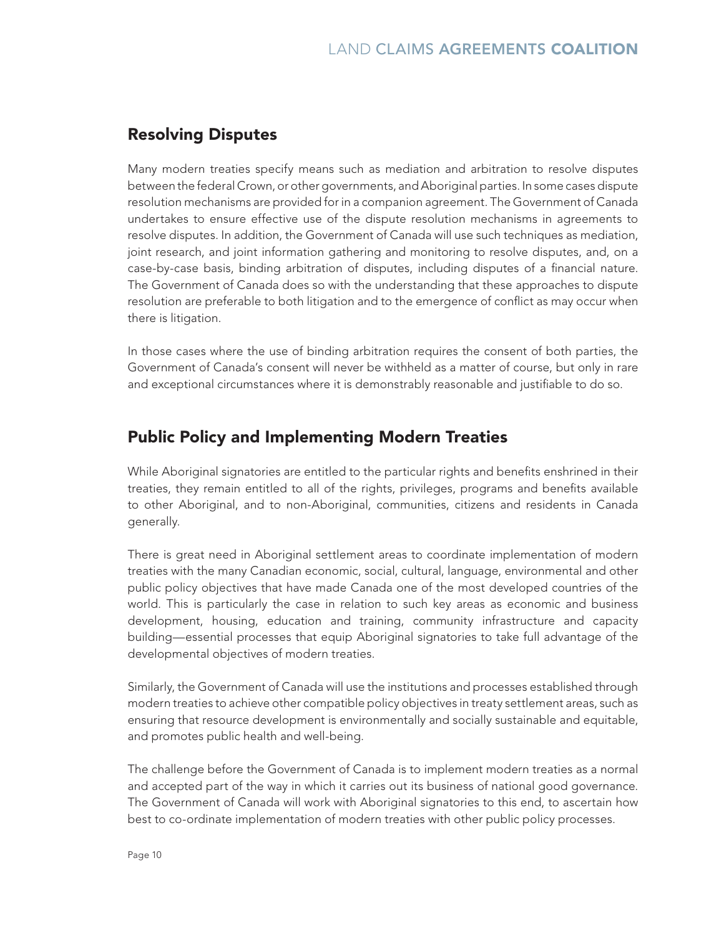### Resolving Disputes

Many modern treaties specify means such as mediation and arbitration to resolve disputes between the federal Crown, or other governments, and Aboriginal parties. In some cases dispute resolution mechanisms are provided for in a companion agreement. The Government of Canada undertakes to ensure effective use of the dispute resolution mechanisms in agreements to resolve disputes. In addition, the Government of Canada will use such techniques as mediation, joint research, and joint information gathering and monitoring to resolve disputes, and, on a case-by-case basis, binding arbitration of disputes, including disputes of a financial nature. The Government of Canada does so with the understanding that these approaches to dispute resolution are preferable to both litigation and to the emergence of conflict as may occur when there is litigation.

In those cases where the use of binding arbitration requires the consent of both parties, the Government of Canada's consent will never be withheld as a matter of course, but only in rare and exceptional circumstances where it is demonstrably reasonable and justifiable to do so.

#### Public Policy and Implementing Modern Treaties

While Aboriginal signatories are entitled to the particular rights and benefits enshrined in their treaties, they remain entitled to all of the rights, privileges, programs and benefits available to other Aboriginal, and to non-Aboriginal, communities, citizens and residents in Canada generally.

There is great need in Aboriginal settlement areas to coordinate implementation of modern treaties with the many Canadian economic, social, cultural, language, environmental and other public policy objectives that have made Canada one of the most developed countries of the world. This is particularly the case in relation to such key areas as economic and business development, housing, education and training, community infrastructure and capacity building—essential processes that equip Aboriginal signatories to take full advantage of the developmental objectives of modern treaties.

Similarly, the Government of Canada will use the institutions and processes established through modern treaties to achieve other compatible policy objectives in treaty settlement areas, such as ensuring that resource development is environmentally and socially sustainable and equitable, and promotes public health and well-being.

The challenge before the Government of Canada is to implement modern treaties as a normal and accepted part of the way in which it carries out its business of national good governance. The Government of Canada will work with Aboriginal signatories to this end, to ascertain how best to co-ordinate implementation of modern treaties with other public policy processes.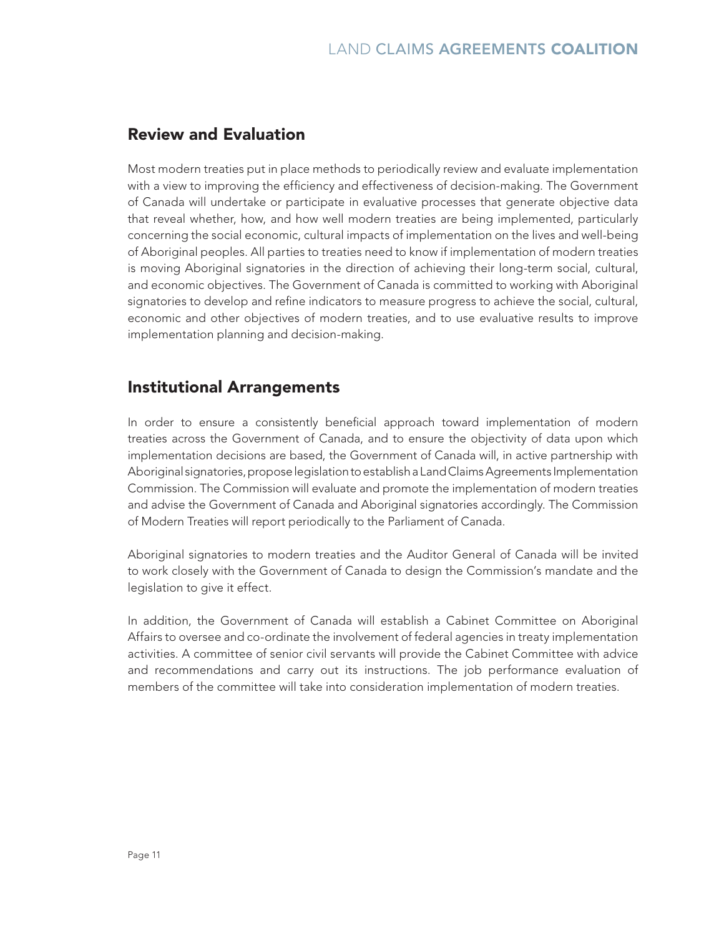#### Review and Evaluation

Most modern treaties put in place methods to periodically review and evaluate implementation with a view to improving the efficiency and effectiveness of decision-making. The Government of Canada will undertake or participate in evaluative processes that generate objective data that reveal whether, how, and how well modern treaties are being implemented, particularly concerning the social economic, cultural impacts of implementation on the lives and well-being of Aboriginal peoples. All parties to treaties need to know if implementation of modern treaties is moving Aboriginal signatories in the direction of achieving their long-term social, cultural, and economic objectives. The Government of Canada is committed to working with Aboriginal signatories to develop and refine indicators to measure progress to achieve the social, cultural, economic and other objectives of modern treaties, and to use evaluative results to improve implementation planning and decision-making.

#### Institutional Arrangements

In order to ensure a consistently beneficial approach toward implementation of modern treaties across the Government of Canada, and to ensure the objectivity of data upon which implementation decisions are based, the Government of Canada will, in active partnership with Aboriginal signatories, propose legislation to establish a Land Claims Agreements Implementation Commission. The Commission will evaluate and promote the implementation of modern treaties and advise the Government of Canada and Aboriginal signatories accordingly. The Commission of Modern Treaties will report periodically to the Parliament of Canada.

Aboriginal signatories to modern treaties and the Auditor General of Canada will be invited to work closely with the Government of Canada to design the Commission's mandate and the legislation to give it effect.

In addition, the Government of Canada will establish a Cabinet Committee on Aboriginal Affairs to oversee and co-ordinate the involvement of federal agencies in treaty implementation activities. A committee of senior civil servants will provide the Cabinet Committee with advice and recommendations and carry out its instructions. The job performance evaluation of members of the committee will take into consideration implementation of modern treaties.